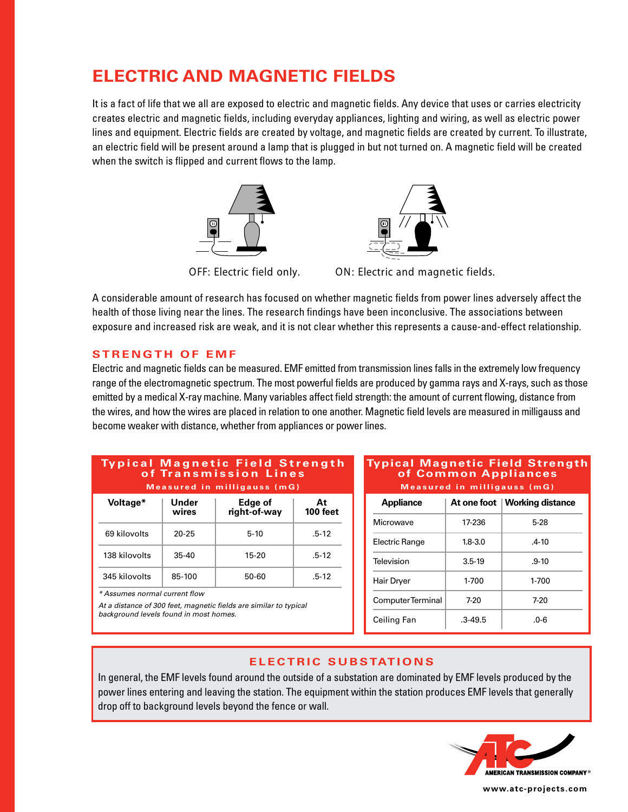# **ELECTRIC AND MAGNETIC FIELDS**

It is a fact of life that we all are exposed to electric and magnetic fields. Any device that uses or carries electricity creates electric and magnetic fields, including everyday appliances, lighting and wiring, as well as electric power lines and equipment. Electric fields are created by voltage, and magnetic fields are created by current. To illustrate, an electric field will be present around a lamp that is plugged in but not turned on. A magnetic field will be created when the switch is flipped and current flows to the lamp.



A considerable amount of research has focused on whether magnetic fields from power lines adversely affect the health of those living near the lines. The research findings have been inconclusive. The associations between exposure and increased risk are weak, and it is not clear whether this represents a cause-and-effect relationship.

## **STRENGTH OF EMF**

Electric and magnetic fields can be measured. EMF emitted from transmission lines falls in the extremely low frequency range of the electromagnetic spectrum. The most powerful fields are produced by gamma rays and X-rays, such as those emitted by a medical X-ray machine. Many variables affect field strength: the amount of current flowing, distance from the wires, and how the wires are placed in relation to one another. Magnetic field levels are measured in milligauss and become weaker with distance, whether from appliances or power lines.

#### **Ty p i c a l M a g n e t i c F i e l d S t re n g t h o f Tra n s m i s s i o n L i n e s Measured in milligauss (mG)**

| Voltage*      | Under<br>wires | Edge of<br>right-of-way | At<br>100 feet |
|---------------|----------------|-------------------------|----------------|
| 69 kilovolts  | $20 - 25$      | $5 - 10$                | $.5 - 12$      |
| 138 kilovolts | $35-40$        | 15-20                   | $.5 - 12$      |
| 345 kilovolts | 85-100         | 50-60                   | $.5 - 12$      |

*\* Assumes normal current flow*

*At a distance of 300 feet, magnetic fields are similar to typical background levels found in most homes.*

#### **Typical Magnetic Field Strength of Common Appliances Measured in milligauss (mG)**

| <b>Appliance</b>  |             | At one foot   Working distance |
|-------------------|-------------|--------------------------------|
| Microwave         | 17-236      | $5-28$                         |
| Electric Range    | $1.8 - 3.0$ | $.4 - 10$                      |
| Television        | $3.5 - 19$  | $.9 - 10$                      |
| Hair Dryer        | 1-700       | 1-700                          |
| Computer Terminal | 7-20        | 7-20                           |
| Ceiling Fan       | $.3 - 49.5$ | .೧-6                           |

## **ELECTRIC SUBSTATIONS**

In general, the EMF levels found around the outside of a substation are dominated by EMF levels produced by the power lines entering and leaving the station. The equipment within the station produces EMF levels that generally drop off to background levels beyond the fence or wall.



**www.atc-projects.com**